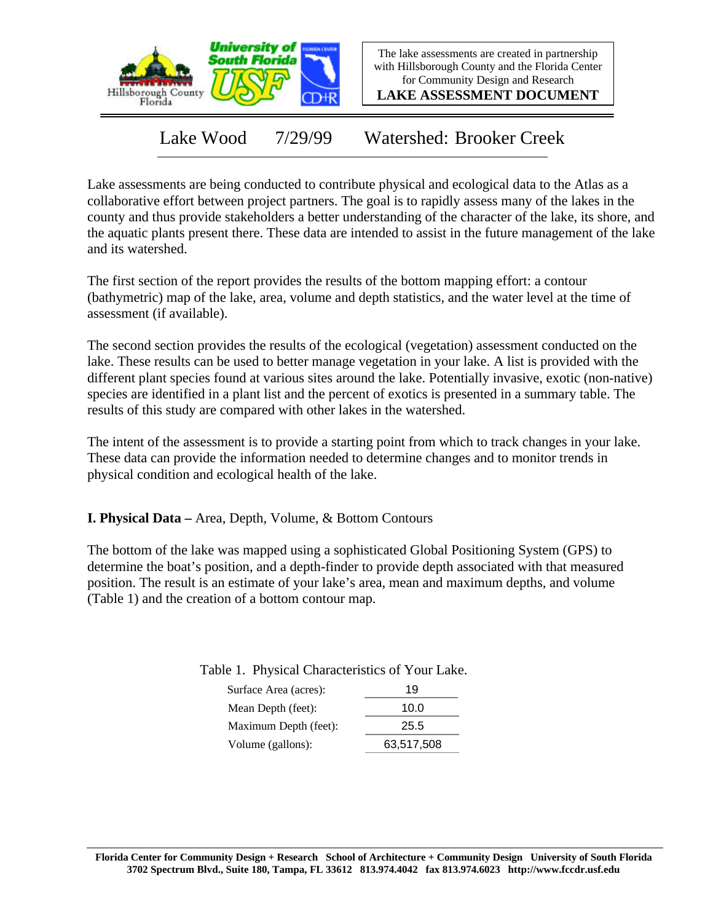

The lake assessments are created in partnership with Hillsborough County and the Florida Center for Community Design and Research

**LAKE ASSESSMENT DOCUMENT**

Lake Wood 7/29/99 Watershed: Brooker Creek

Lake assessments are being conducted to contribute physical and ecological data to the Atlas as a collaborative effort between project partners. The goal is to rapidly assess many of the lakes in the county and thus provide stakeholders a better understanding of the character of the lake, its shore, and the aquatic plants present there. These data are intended to assist in the future management of the lake and its watershed.

The first section of the report provides the results of the bottom mapping effort: a contour (bathymetric) map of the lake, area, volume and depth statistics, and the water level at the time of assessment (if available).

The second section provides the results of the ecological (vegetation) assessment conducted on the lake. These results can be used to better manage vegetation in your lake. A list is provided with the different plant species found at various sites around the lake. Potentially invasive, exotic (non-native) species are identified in a plant list and the percent of exotics is presented in a summary table. The results of this study are compared with other lakes in the watershed.

The intent of the assessment is to provide a starting point from which to track changes in your lake. These data can provide the information needed to determine changes and to monitor trends in physical condition and ecological health of the lake.

**I. Physical Data –** Area, Depth, Volume, & Bottom Contours

The bottom of the lake was mapped using a sophisticated Global Positioning System (GPS) to determine the boat's position, and a depth-finder to provide depth associated with that measured position. The result is an estimate of your lake's area, mean and maximum depths, and volume (Table 1) and the creation of a bottom contour map.

| Surface Area (acres): | 19         |  |  |
|-----------------------|------------|--|--|
| Mean Depth (feet):    | 10.0       |  |  |
| Maximum Depth (feet): | 25.5       |  |  |
| Volume (gallons):     | 63,517,508 |  |  |

Table 1. Physical Characteristics of Your Lake.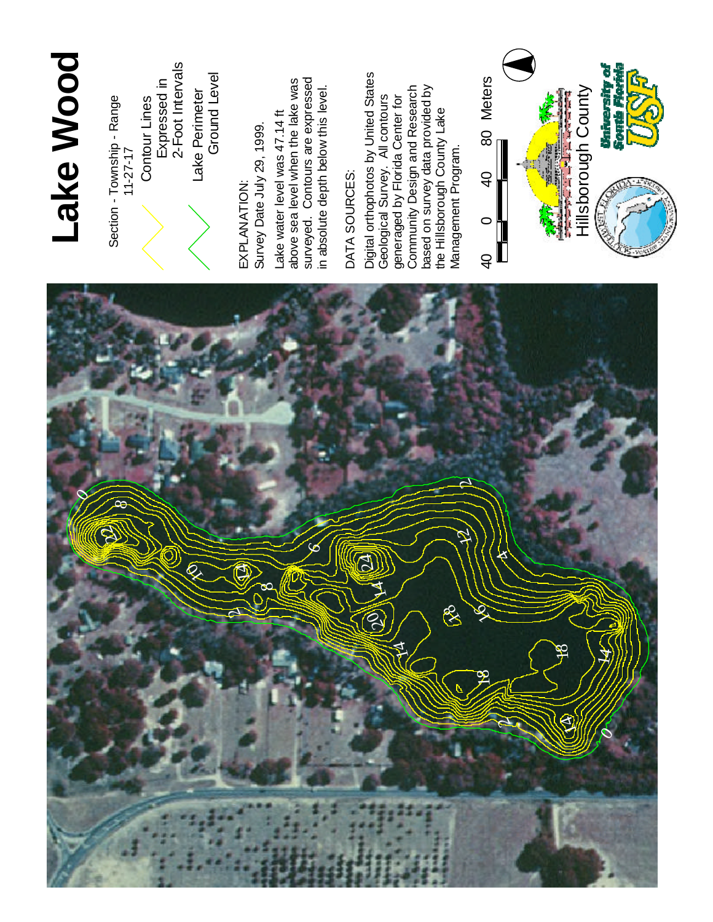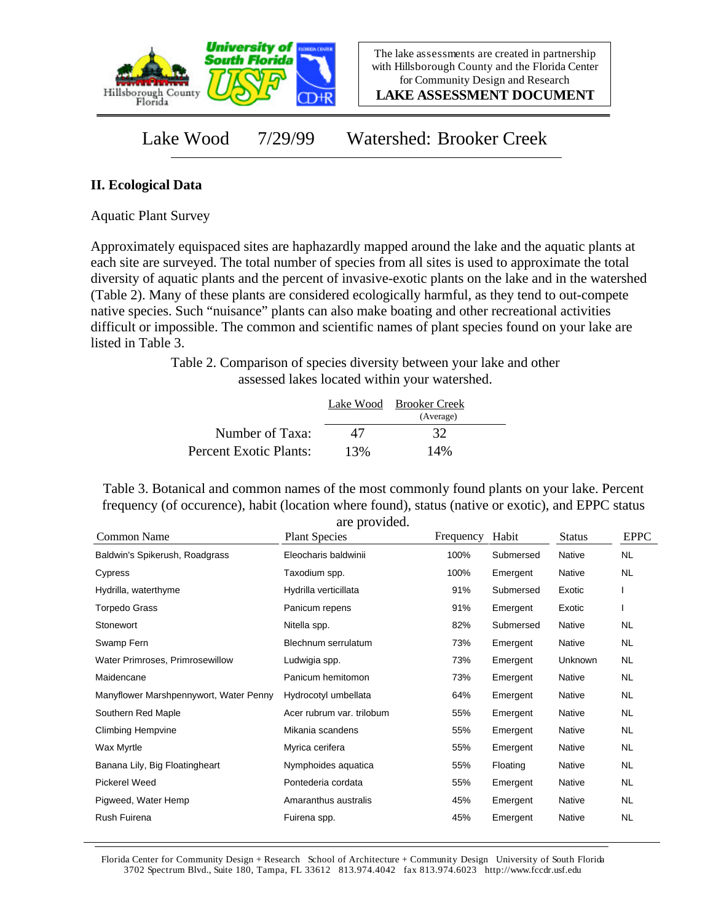

**LAKE ASSESSMENT DOCUMENT**

Lake Wood 7/29/99 Watershed: Brooker Creek

## **II. Ecological Data**

Aquatic Plant Survey

Approximately equispaced sites are haphazardly mapped around the lake and the aquatic plants at each site are surveyed. The total number of species from all sites is used to approximate the total diversity of aquatic plants and the percent of invasive-exotic plants on the lake and in the watershed (Table 2). Many of these plants are considered ecologically harmful, as they tend to out-compete native species. Such "nuisance" plants can also make boating and other recreational activities difficult or impossible. The common and scientific names of plant species found on your lake are listed in Table 3.

> Table 2. Comparison of species diversity between your lake and other assessed lakes located within your watershed.

|                        |     | Lake Wood Brooker Creek<br>(Average) |  |
|------------------------|-----|--------------------------------------|--|
| Number of Taxa:        | 47  | 32                                   |  |
| Percent Exotic Plants: | 13% | 14%                                  |  |

Table 3. Botanical and common names of the most commonly found plants on your lake. Percent frequency (of occurence), habit (location where found), status (native or exotic), and EPPC status are provided.

| Common Name                            | <b>Plant Species</b>      | Frequency | Habit     | <b>Status</b> | <b>EPPC</b> |
|----------------------------------------|---------------------------|-----------|-----------|---------------|-------------|
| Baldwin's Spikerush, Roadgrass         | Eleocharis baldwinii      | 100%      | Submersed | Native        | <b>NL</b>   |
| Cypress                                | Taxodium spp.             | 100%      | Emergent  | Native        | NL.         |
| Hydrilla, waterthyme                   | Hydrilla verticillata     | 91%       | Submersed | Exotic        |             |
| <b>Torpedo Grass</b>                   | Panicum repens            | 91%       | Emergent  | Exotic        |             |
| Stonewort                              | Nitella spp.              | 82%       | Submersed | Native        | NL.         |
| Swamp Fern                             | Blechnum serrulatum       | 73%       | Emergent  | Native        | NL.         |
| Water Primroses, Primrosewillow        | Ludwigia spp.             | 73%       | Emergent  | Unknown       | <b>NL</b>   |
| Maidencane                             | Panicum hemitomon         | 73%       | Emergent  | Native        | NL.         |
| Manyflower Marshpennywort, Water Penny | Hydrocotyl umbellata      | 64%       | Emergent  | Native        | NL          |
| Southern Red Maple                     | Acer rubrum var. trilobum | 55%       | Emergent  | Native        | NL.         |
| <b>Climbing Hempvine</b>               | Mikania scandens          | 55%       | Emergent  | Native        | NL.         |
| Wax Myrtle                             | Myrica cerifera           | 55%       | Emergent  | Native        | NL.         |
| Banana Lily, Big Floatingheart         | Nymphoides aquatica       | 55%       | Floating  | Native        | NL.         |
| <b>Pickerel Weed</b>                   | Pontederia cordata        | 55%       | Emergent  | Native        | NL.         |
| Pigweed, Water Hemp                    | Amaranthus australis      | 45%       | Emergent  | Native        | NL.         |
| Rush Fuirena                           | Fuirena spp.              | 45%       | Emergent  | Native        | <b>NL</b>   |

Florida Center for Community Design + Research School of Architecture + Community Design University of South Florida 3702 Spectrum Blvd., Suite 180, Tampa, FL 33612 813.974.4042 fax 813.974.6023 http://www.fccdr.usf.edu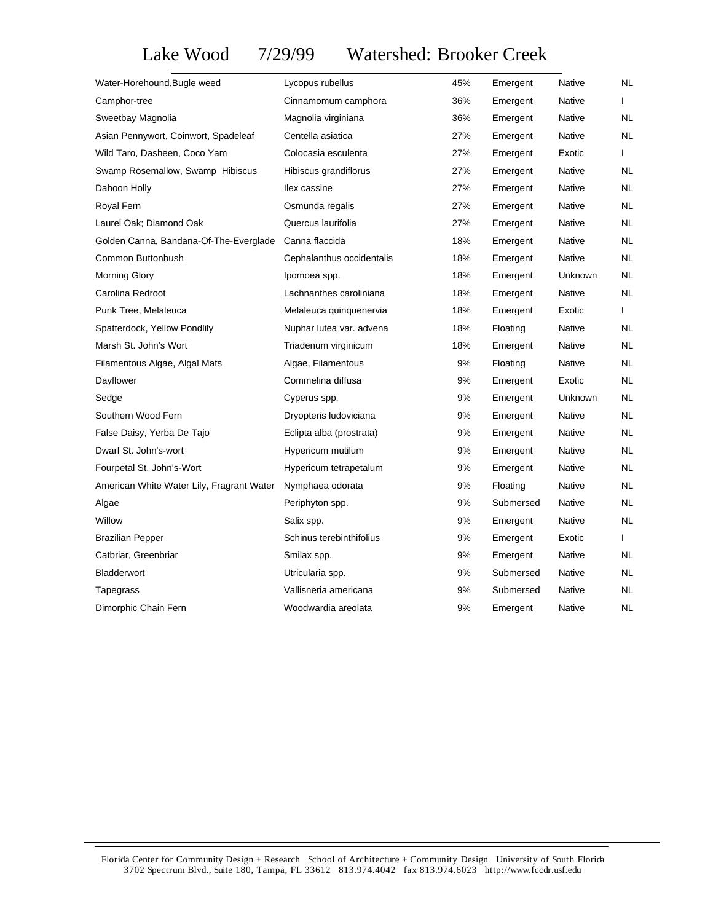Lake Wood 7/29/99 Watershed: Brooker Creek

| Water-Horehound, Bugle weed               | Lycopus rubellus          | 45% | Emergent  | Native         | NL        |
|-------------------------------------------|---------------------------|-----|-----------|----------------|-----------|
| Camphor-tree                              | Cinnamomum camphora       | 36% | Emergent  | Native         | L         |
| Sweetbay Magnolia                         | Magnolia virginiana       | 36% | Emergent  | Native         | NL.       |
| Asian Pennywort, Coinwort, Spadeleaf      | Centella asiatica         | 27% | Emergent  | Native         | <b>NL</b> |
| Wild Taro, Dasheen, Coco Yam              | Colocasia esculenta       | 27% | Emergent  | Exotic         | L         |
| Swamp Rosemallow, Swamp Hibiscus          | Hibiscus grandiflorus     | 27% | Emergent  | Native         | <b>NL</b> |
| Dahoon Holly                              | llex cassine              | 27% | Emergent  | Native         | <b>NL</b> |
| Royal Fern                                | Osmunda regalis           | 27% | Emergent  | Native         | NL        |
| Laurel Oak; Diamond Oak                   | Quercus laurifolia        | 27% | Emergent  | Native         | <b>NL</b> |
| Golden Canna, Bandana-Of-The-Everglade    | Canna flaccida            | 18% | Emergent  | Native         | NL        |
| Common Buttonbush                         | Cephalanthus occidentalis | 18% | Emergent  | Native         | NL        |
| <b>Morning Glory</b>                      | Ipomoea spp.              | 18% | Emergent  | <b>Unknown</b> | NL        |
| Carolina Redroot                          | Lachnanthes caroliniana   | 18% | Emergent  | Native         | <b>NL</b> |
| Punk Tree, Melaleuca                      | Melaleuca quinquenervia   | 18% | Emergent  | Exotic         | L         |
| Spatterdock, Yellow Pondlily              | Nuphar lutea var. advena  | 18% | Floating  | Native         | NL        |
| Marsh St. John's Wort                     | Triadenum virginicum      | 18% | Emergent  | Native         | NL        |
| Filamentous Algae, Algal Mats             | Algae, Filamentous        | 9%  | Floating  | Native         | <b>NL</b> |
| Dayflower                                 | Commelina diffusa         | 9%  | Emergent  | Exotic         | NL        |
| Sedge                                     | Cyperus spp.              | 9%  | Emergent  | Unknown        | NL        |
| Southern Wood Fern                        | Dryopteris Iudoviciana    | 9%  | Emergent  | <b>Native</b>  | NL        |
| False Daisy, Yerba De Tajo                | Eclipta alba (prostrata)  | 9%  | Emergent  | Native         | NL        |
| Dwarf St. John's-wort                     | Hypericum mutilum         | 9%  | Emergent  | Native         | <b>NL</b> |
| Fourpetal St. John's-Wort                 | Hypericum tetrapetalum    | 9%  | Emergent  | Native         | NL        |
| American White Water Lily, Fragrant Water | Nymphaea odorata          | 9%  | Floating  | <b>Native</b>  | <b>NL</b> |
| Algae                                     | Periphyton spp.           | 9%  | Submersed | <b>Native</b>  | NL        |
| Willow                                    | Salix spp.                | 9%  | Emergent  | Native         | NL.       |
| <b>Brazilian Pepper</b>                   | Schinus terebinthifolius  | 9%  | Emergent  | Exotic         | L         |
| Catbriar, Greenbriar                      | Smilax spp.               | 9%  | Emergent  | <b>Native</b>  | <b>NL</b> |
| Bladderwort                               | Utricularia spp.          | 9%  | Submersed | <b>Native</b>  | <b>NL</b> |
| Tapegrass                                 | Vallisneria americana     | 9%  | Submersed | <b>Native</b>  | <b>NL</b> |
| Dimorphic Chain Fern                      | Woodwardia areolata       | 9%  | Emergent  | Native         | NL        |